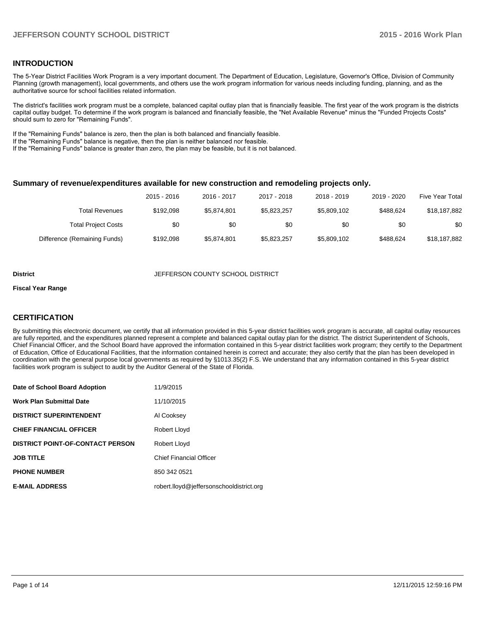## **INTRODUCTION**

The 5-Year District Facilities Work Program is a very important document. The Department of Education, Legislature, Governor's Office, Division of Community Planning (growth management), local governments, and others use the work program information for various needs including funding, planning, and as the authoritative source for school facilities related information.

The district's facilities work program must be a complete, balanced capital outlay plan that is financially feasible. The first year of the work program is the districts capital outlay budget. To determine if the work program is balanced and financially feasible, the "Net Available Revenue" minus the "Funded Projects Costs" should sum to zero for "Remaining Funds".

If the "Remaining Funds" balance is zero, then the plan is both balanced and financially feasible.

If the "Remaining Funds" balance is negative, then the plan is neither balanced nor feasible.

If the "Remaining Funds" balance is greater than zero, the plan may be feasible, but it is not balanced.

#### **Summary of revenue/expenditures available for new construction and remodeling projects only.**

| Five Year Total | 2019 - 2020 | 2018 - 2019 | 2017 - 2018 | 2016 - 2017 | 2015 - 2016 |                              |
|-----------------|-------------|-------------|-------------|-------------|-------------|------------------------------|
| \$18,187,882    | \$488.624   | \$5,809,102 | \$5,823,257 | \$5.874.801 | \$192.098   | Total Revenues               |
| \$0             | \$0         | \$0         | \$0         | \$0         | \$0         | <b>Total Project Costs</b>   |
| \$18,187,882    | \$488.624   | \$5,809,102 | \$5,823,257 | \$5,874,801 | \$192.098   | Difference (Remaining Funds) |

#### **District JEFFERSON COUNTY SCHOOL DISTRICT**

#### **Fiscal Year Range**

## **CERTIFICATION**

By submitting this electronic document, we certify that all information provided in this 5-year district facilities work program is accurate, all capital outlay resources are fully reported, and the expenditures planned represent a complete and balanced capital outlay plan for the district. The district Superintendent of Schools, Chief Financial Officer, and the School Board have approved the information contained in this 5-year district facilities work program; they certify to the Department of Education, Office of Educational Facilities, that the information contained herein is correct and accurate; they also certify that the plan has been developed in coordination with the general purpose local governments as required by §1013.35(2) F.S. We understand that any information contained in this 5-year district facilities work program is subject to audit by the Auditor General of the State of Florida.

| Date of School Board Adoption           | 11/9/2015                                |
|-----------------------------------------|------------------------------------------|
| <b>Work Plan Submittal Date</b>         | 11/10/2015                               |
| <b>DISTRICT SUPERINTENDENT</b>          | Al Cooksey                               |
| <b>CHIEF FINANCIAL OFFICER</b>          | Robert Lloyd                             |
| <b>DISTRICT POINT-OF-CONTACT PERSON</b> | Robert Lloyd                             |
| <b>JOB TITLE</b>                        | <b>Chief Financial Officer</b>           |
| <b>PHONE NUMBER</b>                     | 850 342 0521                             |
| <b>E-MAIL ADDRESS</b>                   | robert.lloyd@jeffersonschooldistrict.org |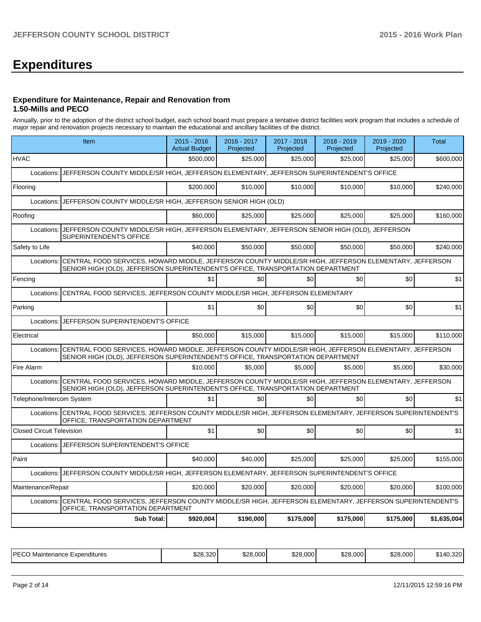# **Expenditures**

#### **Expenditure for Maintenance, Repair and Renovation from 1.50-Mills and PECO**

Annually, prior to the adoption of the district school budget, each school board must prepare a tentative district facilities work program that includes a schedule of major repair and renovation projects necessary to maintain the educational and ancillary facilities of the district.

|                                                                            | <b>Sub Total:</b>                                                                                                                                                                                    | \$920,004                             | \$190,000                | \$175,000                | \$175,000                | \$175,000                | \$1,635,004  |  |  |
|----------------------------------------------------------------------------|------------------------------------------------------------------------------------------------------------------------------------------------------------------------------------------------------|---------------------------------------|--------------------------|--------------------------|--------------------------|--------------------------|--------------|--|--|
| Locations:                                                                 | CENTRAL FOOD SERVICES, JEFFERSON COUNTY MIDDLE/SR HIGH, JEFFERSON ELEMENTARY, JEFFERSON SUPERINTENDENT'S<br>OFFICE, TRANSPORTATION DEPARTMENT                                                        |                                       |                          |                          |                          |                          |              |  |  |
| Maintenance/Repair                                                         |                                                                                                                                                                                                      | \$20,000                              | \$20,000                 | \$20,000                 | \$20,000                 | \$20,000                 | \$100,000    |  |  |
| Locations:                                                                 | JEFFERSON COUNTY MIDDLE/SR HIGH, JEFFERSON ELEMENTARY, JEFFERSON SUPERINTENDENT'S OFFICE                                                                                                             |                                       |                          |                          |                          |                          |              |  |  |
| Paint                                                                      |                                                                                                                                                                                                      | \$40,000                              | \$40,000                 | \$25,000                 | \$25,000                 | \$25,000                 | \$155,000    |  |  |
|                                                                            | Locations: UEFFERSON SUPERINTENDENT'S OFFICE                                                                                                                                                         |                                       |                          |                          |                          |                          |              |  |  |
| <b>Closed Circuit Television</b>                                           |                                                                                                                                                                                                      | \$1                                   | \$0                      | \$0                      | \$0                      | \$0                      | \$1          |  |  |
|                                                                            | Locations: CENTRAL FOOD SERVICES, JEFFERSON COUNTY MIDDLE/SR HIGH, JEFFERSON ELEMENTARY, JEFFERSON SUPERINTENDENT'S<br>OFFICE, TRANSPORTATION DEPARTMENT                                             |                                       |                          |                          |                          |                          |              |  |  |
| Telephone/Intercom System                                                  |                                                                                                                                                                                                      | \$1                                   | \$0                      | \$0                      | \$0                      | \$0                      | \$1          |  |  |
|                                                                            | Locations: CENTRAL FOOD SERVICES, HOWARD MIDDLE, JEFFERSON COUNTY MIDDLE/SR HIGH, JEFFERSON ELEMENTARY, JEFFERSON<br>SENIOR HIGH (OLD), JEFFERSON SUPERINTENDENT'S OFFICE, TRANSPORTATION DEPARTMENT |                                       |                          |                          |                          |                          |              |  |  |
| Fire Alarm                                                                 |                                                                                                                                                                                                      | \$10,000                              | \$5,000                  | \$5,000                  | \$5,000                  | \$5,000                  | \$30,000     |  |  |
| Locations:                                                                 | CENTRAL FOOD SERVICES, HOWARD MIDDLE, JEFFERSON COUNTY MIDDLE/SR HIGH, JEFFERSON ELEMENTARY, JEFFERSON<br>SENIOR HIGH (OLD), JEFFERSON SUPERINTENDENT'S OFFICE, TRANSPORTATION DEPARTMENT            |                                       |                          |                          |                          |                          |              |  |  |
| Electrical                                                                 |                                                                                                                                                                                                      | \$50,000                              | \$15,000                 | \$15,000                 | \$15,000                 | \$15,000                 | \$110,000    |  |  |
| Locations:                                                                 | JEFFERSON SUPERINTENDENT'S OFFICE                                                                                                                                                                    |                                       |                          |                          |                          |                          |              |  |  |
| Parking                                                                    |                                                                                                                                                                                                      | \$1                                   | \$0                      | \$0                      | \$0                      | \$0                      | \$1          |  |  |
| Locations:                                                                 | CENTRAL FOOD SERVICES, JEFFERSON COUNTY MIDDLE/SR HIGH, JEFFERSON ELEMENTARY                                                                                                                         |                                       |                          |                          |                          |                          |              |  |  |
| Fencing                                                                    |                                                                                                                                                                                                      | \$1                                   | \$0                      | \$0                      | \$0                      | \$0                      | \$1          |  |  |
|                                                                            | Locations: CENTRAL FOOD SERVICES, HOWARD MIDDLE, JEFFERSON COUNTY MIDDLE/SR HIGH, JEFFERSON ELEMENTARY, JEFFERSON<br>SENIOR HIGH (OLD), JEFFERSON SUPERINTENDENT'S OFFICE, TRANSPORTATION DEPARTMENT |                                       |                          |                          |                          |                          |              |  |  |
| Safety to Life                                                             |                                                                                                                                                                                                      | \$40.000                              | \$50,000                 | \$50,000                 | \$50,000                 | \$50,000                 | \$240,000    |  |  |
|                                                                            | Locations: JJEFFERSON COUNTY MIDDLE/SR HIGH, JEFFERSON ELEMENTARY, JEFFERSON SENIOR HIGH (OLD), JEFFERSON<br>SUPERINTENDENT'S OFFICE                                                                 |                                       |                          |                          |                          |                          |              |  |  |
| Roofing                                                                    |                                                                                                                                                                                                      | \$60,000                              | \$25,000                 | \$25,000                 | \$25,000                 | \$25,000                 | \$160,000    |  |  |
| JEFFERSON COUNTY MIDDLE/SR HIGH, JEFFERSON SENIOR HIGH (OLD)<br>Locations: |                                                                                                                                                                                                      |                                       |                          |                          |                          |                          |              |  |  |
| Flooring                                                                   |                                                                                                                                                                                                      | \$200,000                             | \$10,000                 | \$10,000                 | \$10,000                 | \$10.000                 | \$240.000    |  |  |
| Locations:                                                                 | JEFFERSON COUNTY MIDDLE/SR HIGH, JEFFERSON ELEMENTARY, JEFFERSON SUPERINTENDENT'S OFFICE                                                                                                             |                                       |                          |                          |                          |                          |              |  |  |
| <b>HVAC</b>                                                                |                                                                                                                                                                                                      | \$500,000                             | \$25,000                 | \$25,000                 | \$25,000                 | \$25.000                 | \$600,000    |  |  |
|                                                                            | Item                                                                                                                                                                                                 | $2015 - 2016$<br><b>Actual Budget</b> | 2016 - 2017<br>Projected | 2017 - 2018<br>Projected | 2018 - 2019<br>Projected | 2019 - 2020<br>Projected | <b>Total</b> |  |  |
|                                                                            |                                                                                                                                                                                                      |                                       |                          |                          |                          |                          |              |  |  |

| IPFCO<br>Expenditures<br>Maintenance<br>∟ບບ | \$28,320<br>$\overline{\phantom{a}}$ | \$28.000<br>0.00 | \$28,000 | \$28,000 | \$28,000 | $\sim$<br>∼.<br>14″،<br>10.3ZU |
|---------------------------------------------|--------------------------------------|------------------|----------|----------|----------|--------------------------------|
|---------------------------------------------|--------------------------------------|------------------|----------|----------|----------|--------------------------------|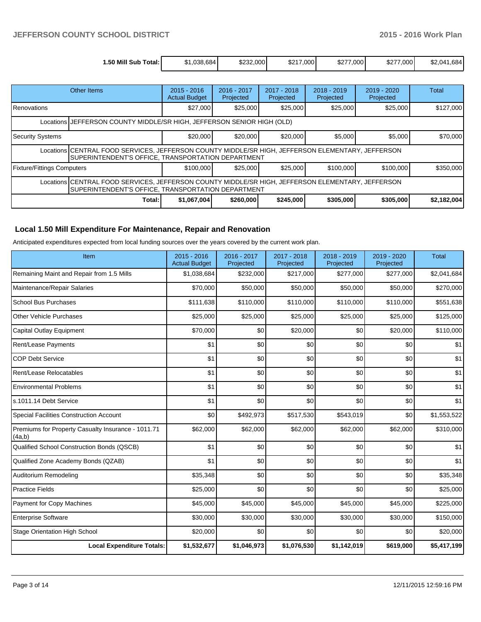| 1.50 Mill Sub<br>Total: | .038.684<br>ו ה | \$232,000 | \$217,000 | \$277,000 | \$277,000 | \$2.041.684 |
|-------------------------|-----------------|-----------|-----------|-----------|-----------|-------------|

|                                                                                                                                                         | Other Items                                                                                                                                             | $2015 - 2016$<br><b>Actual Budget</b> | 2016 - 2017<br>Projected | 2017 - 2018<br>Projected | $2018 - 2019$<br>Projected | $2019 - 2020$<br>Projected | Total       |  |
|---------------------------------------------------------------------------------------------------------------------------------------------------------|---------------------------------------------------------------------------------------------------------------------------------------------------------|---------------------------------------|--------------------------|--------------------------|----------------------------|----------------------------|-------------|--|
| <b>Renovations</b>                                                                                                                                      |                                                                                                                                                         | \$27,000                              | \$25,000                 | \$25,000                 | \$25,000                   | \$25,000                   | \$127,000   |  |
| Locations J JEFFERSON COUNTY MIDDLE/SR HIGH, JEFFERSON SENIOR HIGH (OLD)                                                                                |                                                                                                                                                         |                                       |                          |                          |                            |                            |             |  |
| Security Systems                                                                                                                                        |                                                                                                                                                         | \$20,000                              | \$20,000                 | \$20,000                 | \$5,000                    | \$5,000                    | \$70,000    |  |
|                                                                                                                                                         | Locations CENTRAL FOOD SERVICES, JEFFERSON COUNTY MIDDLE/SR HIGH, JEFFERSON ELEMENTARY, JEFFERSON<br>SUPERINTENDENT'S OFFICE, TRANSPORTATION DEPARTMENT |                                       |                          |                          |                            |                            |             |  |
| <b>Fixture/Fittings Computers</b>                                                                                                                       |                                                                                                                                                         | \$100,000                             | \$25.000                 | \$25,000                 | \$100,000                  | \$100,000                  | \$350,000   |  |
| Locations CENTRAL FOOD SERVICES, JEFFERSON COUNTY MIDDLE/SR HIGH, JEFFERSON ELEMENTARY, JEFFERSON<br>SUPERINTENDENT'S OFFICE, TRANSPORTATION DEPARTMENT |                                                                                                                                                         |                                       |                          |                          |                            |                            |             |  |
|                                                                                                                                                         | Total:                                                                                                                                                  | \$1,067,004                           | \$260,000                | \$245,000                | \$305,000                  | \$305,000                  | \$2,182,004 |  |

## **Local 1.50 Mill Expenditure For Maintenance, Repair and Renovation**

Anticipated expenditures expected from local funding sources over the years covered by the current work plan.

| Item                                                         | 2015 - 2016<br><b>Actual Budget</b> | 2016 - 2017<br>Projected | 2017 - 2018<br>Projected | 2018 - 2019<br>Projected | 2019 - 2020<br>Projected | <b>Total</b> |
|--------------------------------------------------------------|-------------------------------------|--------------------------|--------------------------|--------------------------|--------------------------|--------------|
| Remaining Maint and Repair from 1.5 Mills                    | \$1,038,684                         | \$232,000                | \$217,000                | \$277,000                | \$277,000                | \$2,041,684  |
| Maintenance/Repair Salaries                                  | \$70,000                            | \$50,000                 | \$50,000                 | \$50,000                 | \$50,000                 | \$270,000    |
| <b>School Bus Purchases</b>                                  | \$111,638                           | \$110,000                | \$110,000                | \$110,000                | \$110,000                | \$551,638    |
| <b>Other Vehicle Purchases</b>                               | \$25,000                            | \$25,000                 | \$25,000                 | \$25,000                 | \$25,000                 | \$125,000    |
| Capital Outlay Equipment                                     | \$70,000                            | \$0                      | \$20,000                 | \$0                      | \$20,000                 | \$110,000    |
| Rent/Lease Payments                                          | \$1                                 | \$0                      | \$0                      | \$0                      | \$0                      | \$1          |
| <b>COP Debt Service</b>                                      | \$1                                 | \$0                      | \$0                      | \$0                      | \$0                      | \$1          |
| Rent/Lease Relocatables                                      | \$1                                 | \$0                      | \$0                      | \$0                      | \$0                      | \$1          |
| <b>Environmental Problems</b>                                | \$1                                 | \$0                      | \$0                      | \$0                      | \$0                      | \$1          |
| s.1011.14 Debt Service                                       | \$1                                 | \$0                      | \$0                      | \$0                      | \$0                      | \$1          |
| <b>Special Facilities Construction Account</b>               | \$0                                 | \$492,973                | \$517,530                | \$543,019                | \$0                      | \$1,553,522  |
| Premiums for Property Casualty Insurance - 1011.71<br>(4a,b) | \$62,000                            | \$62,000                 | \$62,000                 | \$62,000                 | \$62,000                 | \$310,000    |
| Qualified School Construction Bonds (QSCB)                   | \$1                                 | \$0                      | \$0                      | \$0                      | \$0                      | \$1          |
| Qualified Zone Academy Bonds (QZAB)                          | \$1                                 | \$0                      | \$0                      | \$0                      | \$0                      | \$1          |
| Auditorium Remodeling                                        | \$35,348                            | \$0                      | \$0                      | \$0                      | \$0                      | \$35,348     |
| <b>Practice Fields</b>                                       | \$25,000                            | \$0                      | \$0                      | \$0                      | \$0                      | \$25,000     |
| <b>Payment for Copy Machines</b>                             | \$45,000                            | \$45,000                 | \$45,000                 | \$45,000                 | \$45,000                 | \$225,000    |
| <b>Enterprise Software</b>                                   | \$30,000                            | \$30,000                 | \$30,000                 | \$30,000                 | \$30,000                 | \$150,000    |
| <b>Stage Orientation High School</b>                         | \$20,000                            | \$0                      | \$0                      | \$0                      | \$0                      | \$20,000     |
| <b>Local Expenditure Totals:</b>                             | \$1,532,677                         | \$1,046,973              | \$1,076,530              | \$1,142,019              | \$619,000                | \$5,417,199  |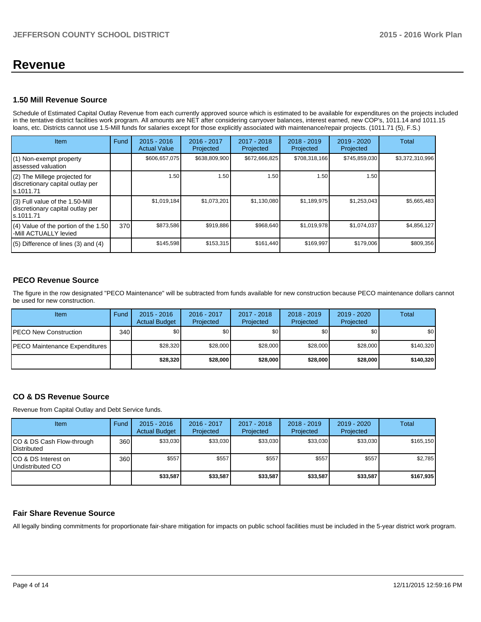## **Revenue**

### **1.50 Mill Revenue Source**

Schedule of Estimated Capital Outlay Revenue from each currently approved source which is estimated to be available for expenditures on the projects included in the tentative district facilities work program. All amounts are NET after considering carryover balances, interest earned, new COP's, 1011.14 and 1011.15 loans, etc. Districts cannot use 1.5-Mill funds for salaries except for those explicitly associated with maintenance/repair projects. (1011.71 (5), F.S.)

| <b>Item</b>                                                                         | Fund | $2015 - 2016$<br><b>Actual Value</b> | 2016 - 2017<br>Projected | 2017 - 2018<br>Projected | $2018 - 2019$<br>Projected | $2019 - 2020$<br>Projected | Total           |
|-------------------------------------------------------------------------------------|------|--------------------------------------|--------------------------|--------------------------|----------------------------|----------------------------|-----------------|
| (1) Non-exempt property<br>lassessed valuation                                      |      | \$606,657,075                        | \$638,809,900            | \$672,666,825            | \$708,318,166              | \$745,859,030              | \$3,372,310,996 |
| $(2)$ The Millege projected for<br>discretionary capital outlay per<br>ls.1011.71   |      | 1.50                                 | 1.50                     | 1.50                     | 1.50                       | 1.50                       |                 |
| $(3)$ Full value of the 1.50-Mill<br>discretionary capital outlay per<br>ls.1011.71 |      | \$1,019,184                          | \$1,073,201              | \$1,130,080              | \$1,189,975                | \$1,253,043                | \$5,665,483     |
| (4) Value of the portion of the 1.50<br>-Mill ACTUALLY levied                       | 370  | \$873,586                            | \$919,886                | \$968,640                | \$1,019,978                | \$1,074,037                | \$4,856,127     |
| $(5)$ Difference of lines $(3)$ and $(4)$                                           |      | \$145,598                            | \$153,315                | \$161.440                | \$169,997                  | \$179,006                  | \$809,356       |

## **PECO Revenue Source**

The figure in the row designated "PECO Maintenance" will be subtracted from funds available for new construction because PECO maintenance dollars cannot be used for new construction.

| Item                                  | Fund             | $2015 - 2016$<br><b>Actual Budget</b> | 2016 - 2017<br>Projected | 2017 - 2018<br>Projected | $2018 - 2019$<br>Projected | $2019 - 2020$<br>Projected | Total     |
|---------------------------------------|------------------|---------------------------------------|--------------------------|--------------------------|----------------------------|----------------------------|-----------|
| <b>IPECO New Construction</b>         | 340 <sup>l</sup> | \$0 <sub>1</sub>                      | \$0                      | \$0                      | \$0 <sub>0</sub>           | \$0                        | \$0       |
| <b>IPECO Maintenance Expenditures</b> |                  | \$28,320                              | \$28,000                 | \$28,000                 | \$28,000                   | \$28,000                   | \$140,320 |
|                                       |                  | \$28,320                              | \$28,000                 | \$28,000                 | \$28,000                   | \$28,000                   | \$140,320 |

## **CO & DS Revenue Source**

Revenue from Capital Outlay and Debt Service funds.

| Item                                             | Fund | $2015 - 2016$<br><b>Actual Budget</b> | 2016 - 2017<br>Projected | $2017 - 2018$<br>Projected | $2018 - 2019$<br>Projected | $2019 - 2020$<br>Projected | Total     |
|--------------------------------------------------|------|---------------------------------------|--------------------------|----------------------------|----------------------------|----------------------------|-----------|
| ICO & DS Cash Flow-through<br><b>Distributed</b> | 360  | \$33,030                              | \$33,030                 | \$33.030                   | \$33.030                   | \$33.030                   | \$165,150 |
| ICO & DS Interest on<br>Undistributed CO         | 360  | \$557                                 | \$557                    | \$557                      | \$557                      | \$557                      | \$2,785   |
|                                                  |      | \$33,587                              | \$33,587                 | \$33,587                   | \$33,587                   | \$33,587                   | \$167,935 |

#### **Fair Share Revenue Source**

All legally binding commitments for proportionate fair-share mitigation for impacts on public school facilities must be included in the 5-year district work program.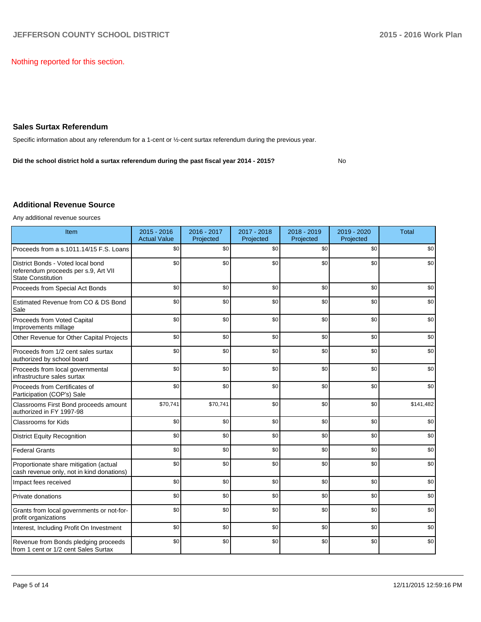Nothing reported for this section.

### **Sales Surtax Referendum**

Specific information about any referendum for a 1-cent or ½-cent surtax referendum during the previous year.

**Did the school district hold a surtax referendum during the past fiscal year 2014 - 2015?**

No

### **Additional Revenue Source**

Any additional revenue sources

| Item                                                                                                   | $2015 - 2016$<br><b>Actual Value</b> | 2016 - 2017<br>Projected | 2017 - 2018<br>Projected | 2018 - 2019<br>Projected | 2019 - 2020<br>Projected | <b>Total</b> |
|--------------------------------------------------------------------------------------------------------|--------------------------------------|--------------------------|--------------------------|--------------------------|--------------------------|--------------|
| Proceeds from a s.1011.14/15 F.S. Loans                                                                | \$0                                  | \$0                      | \$0                      | \$0                      | \$0                      | \$0          |
| District Bonds - Voted local bond<br>referendum proceeds per s.9, Art VII<br><b>State Constitution</b> | \$0                                  | \$0                      | \$0                      | \$0                      | \$0                      | \$0          |
| Proceeds from Special Act Bonds                                                                        | \$0                                  | \$0                      | \$0                      | \$0                      | \$0                      | \$0          |
| Estimated Revenue from CO & DS Bond<br>Sale                                                            | \$0                                  | \$0                      | \$0                      | \$0                      | \$0                      | \$0          |
| Proceeds from Voted Capital<br>Improvements millage                                                    | \$0                                  | \$0                      | \$0                      | \$0                      | \$0                      | \$0          |
| Other Revenue for Other Capital Projects                                                               | \$0                                  | \$0                      | \$0                      | \$0                      | \$0                      | \$0          |
| Proceeds from 1/2 cent sales surtax<br>authorized by school board                                      | \$0                                  | \$0                      | \$0                      | \$0                      | \$0                      | \$0          |
| Proceeds from local governmental<br>infrastructure sales surtax                                        | \$0                                  | \$0                      | \$0                      | \$0                      | \$0                      | \$0          |
| Proceeds from Certificates of<br>Participation (COP's) Sale                                            | \$0                                  | \$0                      | \$0                      | \$0                      | \$0                      | \$0          |
| Classrooms First Bond proceeds amount<br>authorized in FY 1997-98                                      | \$70,741                             | \$70,741                 | \$0                      | \$0                      | \$0                      | \$141,482    |
| <b>Classrooms for Kids</b>                                                                             | \$0                                  | \$0                      | \$0                      | \$0                      | \$0                      | \$0          |
| <b>District Equity Recognition</b>                                                                     | \$0                                  | \$0                      | \$0                      | \$0                      | \$0                      | \$0          |
| <b>Federal Grants</b>                                                                                  | \$0                                  | \$0                      | \$0                      | \$0                      | \$0                      | \$0          |
| Proportionate share mitigation (actual<br>cash revenue only, not in kind donations)                    | \$0                                  | \$0                      | \$0                      | \$0                      | \$0                      | \$0          |
| Impact fees received                                                                                   | \$0                                  | \$0                      | \$0                      | \$0                      | \$0                      | \$0          |
| Private donations                                                                                      | \$0                                  | \$0                      | \$0                      | \$0                      | \$0                      | \$0          |
| Grants from local governments or not-for-<br>profit organizations                                      | \$0                                  | \$0                      | \$0                      | \$0                      | \$0                      | \$0          |
| Interest, Including Profit On Investment                                                               | \$0                                  | \$0                      | \$0                      | \$0                      | \$0                      | \$0          |
| Revenue from Bonds pledging proceeds<br>from 1 cent or 1/2 cent Sales Surtax                           | \$0                                  | \$0                      | \$0                      | \$0                      | \$0                      | \$0          |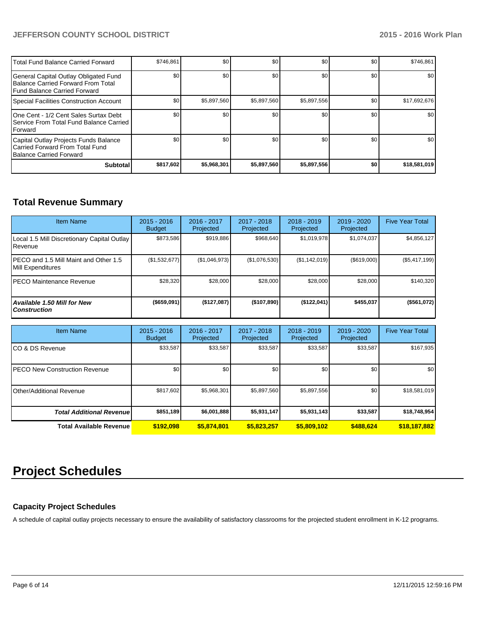## **JEFFERSON COUNTY SCHOOL DISTRICT 2015 - 2016 Work Plan**

| <b>ITotal Fund Balance Carried Forward</b>                                                                          | \$746,861 | \$0         | \$0         | \$0         | \$0 | \$746,861    |
|---------------------------------------------------------------------------------------------------------------------|-----------|-------------|-------------|-------------|-----|--------------|
| General Capital Outlay Obligated Fund<br>Balance Carried Forward From Total<br><b>IFund Balance Carried Forward</b> | \$0       | \$0         | \$0         | \$0         | \$0 | \$0          |
| Special Facilities Construction Account                                                                             | \$0       | \$5,897,560 | \$5,897,560 | \$5,897,556 | \$0 | \$17,692,676 |
| One Cent - 1/2 Cent Sales Surtax Debt<br><b>I Service From Total Fund Balance Carried</b><br><b>IForward</b>        | \$0       | \$0         | \$0         | \$0         | \$0 | \$0          |
| Capital Outlay Projects Funds Balance<br>Carried Forward From Total Fund<br><b>Balance Carried Forward</b>          | \$0       | \$0         | \$0         | \$0         | \$0 | \$0          |
| <b>Subtotal</b>                                                                                                     | \$817,602 | \$5,968,301 | \$5,897,560 | \$5,897,556 | \$0 | \$18,581,019 |

## **Total Revenue Summary**

| <b>Item Name</b>                                           | $2015 - 2016$<br><b>Budget</b> | $2016 - 2017$<br>Projected | $2017 - 2018$<br>Projected | $2018 - 2019$<br>Projected | $2019 - 2020$<br>Projected | <b>Five Year Total</b> |
|------------------------------------------------------------|--------------------------------|----------------------------|----------------------------|----------------------------|----------------------------|------------------------|
| Local 1.5 Mill Discretionary Capital Outlay<br>Revenue     | \$873,586                      | \$919,886                  | \$968,640                  | \$1,019,978                | \$1,074,037                | \$4,856,127            |
| PECO and 1.5 Mill Maint and Other 1.5<br>Mill Expenditures | (\$1,532,677)                  | (\$1,046,973)              | (\$1,076,530)              | (S1, 142, 019)             | (S619,000)                 | (\$5,417,199)          |
| IPECO Maintenance Revenue                                  | \$28,320                       | \$28,000                   | \$28,000                   | \$28,000                   | \$28,000                   | \$140,320              |
| <b>Available 1.50 Mill for New</b><br><b>Construction</b>  | $($ \$659,091)                 | (\$127,087)                | (\$107,890)                | $($ \$122,041)             | \$455.037                  | (\$561,072)            |

| <b>Item Name</b>                      | $2015 - 2016$<br><b>Budget</b> | 2016 - 2017<br>Projected | $2017 - 2018$<br>Projected | $2018 - 2019$<br>Projected | 2019 - 2020<br>Projected | <b>Five Year Total</b> |
|---------------------------------------|--------------------------------|--------------------------|----------------------------|----------------------------|--------------------------|------------------------|
| ICO & DS Revenue                      | \$33,587                       | \$33,587                 | \$33,587                   | \$33,587                   | \$33,587                 | \$167,935              |
| <b>IPECO New Construction Revenue</b> | \$0                            | \$0                      | \$0                        | \$0                        | \$0                      | \$0 <sub>1</sub>       |
| Other/Additional Revenue              | \$817,602                      | \$5,968,301              | \$5,897,560                | \$5,897,556                | \$0                      | \$18,581,019           |
| <b>Total Additional Revenuel</b>      | \$851,189                      | \$6,001,888              | \$5,931,147                | \$5,931,143                | \$33,587                 | \$18,748,954           |
| <b>Total Available Revenue</b>        | \$192,098                      | \$5,874,801              | \$5,823,257                | \$5,809,102                | \$488.624                | \$18,187,882           |

## **Project Schedules**

## **Capacity Project Schedules**

A schedule of capital outlay projects necessary to ensure the availability of satisfactory classrooms for the projected student enrollment in K-12 programs.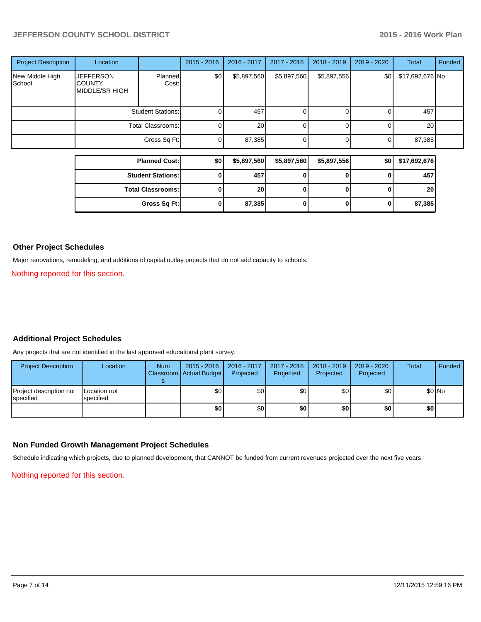## **JEFFERSON COUNTY SCHOOL DISTRICT 2015 - 2016 Work Plan**

| <b>Project Description</b> | Location                                            |                          | $2015 - 2016$ | $2016 - 2017$   | 2017 - 2018 | 2018 - 2019  | 2019 - 2020 | Total           | Funded |
|----------------------------|-----------------------------------------------------|--------------------------|---------------|-----------------|-------------|--------------|-------------|-----------------|--------|
| New Middle High<br>School  | <b>JEFFERSON</b><br><b>COUNTY</b><br>MIDDLE/SR HIGH | Planned<br>Cost:         | \$0           | \$5,897,560     | \$5,897,560 | \$5,897,556  | \$0         | \$17,692,676 No |        |
|                            |                                                     | <b>Student Stations:</b> | 0             | 457             | $\Omega$    | n            | 0           | 457             |        |
|                            | <b>Total Classrooms:</b>                            |                          | 0             | 20              | $\Omega$    | 0            | $\Omega$    | 20              |        |
|                            |                                                     | Gross Sq Ft:             | 0             | 87,385          | $\Omega$    | U            | $\Omega$    | 87,385          |        |
|                            |                                                     |                          |               |                 |             |              |             |                 |        |
|                            |                                                     | <b>Planned Cost:</b>     | \$0           | \$5,897,560     | \$5,897,560 | \$5,897,556  | \$0         | \$17,692,676    |        |
|                            |                                                     | <b>Student Stations:</b> | 0             | 457             | $\bf{0}$    | O            | $\bf{0}$    | 457             |        |
|                            |                                                     | <b>Total Classrooms:</b> | 0             | 20 <sup>1</sup> | $\bf{0}$    | $\mathbf{0}$ | $\bf{0}$    | 20              |        |
|                            |                                                     | Gross Sq Ft:             | 0             | 87,385          | $\bf{0}$    | O            | 0           | 87,385          |        |

#### **Other Project Schedules**

Major renovations, remodeling, and additions of capital outlay projects that do not add capacity to schools.

Nothing reported for this section.

## **Additional Project Schedules**

Any projects that are not identified in the last approved educational plant survey.

| <b>Project Description</b>           | Location                  | <b>Num</b> | 2015 - 2016   2016 - 2017<br>Classroom   Actual Budget | Projected        | $2017 - 2018$<br>Projected | 2018 - 2019<br>Projected | 2019 - 2020<br>Projected | Total | Funded |
|--------------------------------------|---------------------------|------------|--------------------------------------------------------|------------------|----------------------------|--------------------------|--------------------------|-------|--------|
| Project description not<br>specified | Location not<br>specified |            | \$0 I                                                  | \$0 <sub>l</sub> | \$0                        | \$0 I                    | \$0                      |       | \$0 No |
|                                      |                           |            | \$0                                                    | \$O              | \$0                        | \$0 I                    | \$0                      | \$٥١  |        |

## **Non Funded Growth Management Project Schedules**

Schedule indicating which projects, due to planned development, that CANNOT be funded from current revenues projected over the next five years.

Nothing reported for this section.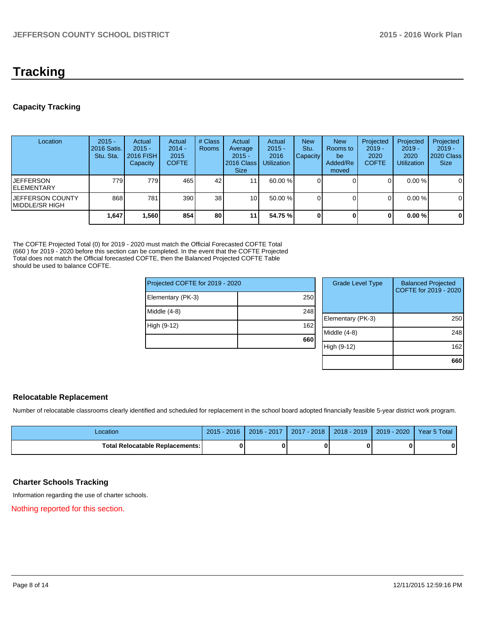## **Tracking**

## **Capacity Tracking**

| Location                             | $2015 -$<br>2016 Satis.<br>Stu. Sta. | Actual<br>$2015 -$<br>2016 FISH<br>Capacity | Actual<br>$2014 -$<br>2015<br><b>COFTE</b> | # Class<br><b>Rooms</b> | Actual<br>Average<br>$2015 -$<br>2016 Class<br><b>Size</b> | Actual<br>$2015 -$<br>2016<br><b>Utilization</b> | <b>New</b><br>Stu.<br><b>Capacity</b> | <b>New</b><br>Rooms to<br>be<br>Added/Re<br>moved | Projected<br>$2019 -$<br>2020<br><b>COFTE</b> | Projected<br>$2019 -$<br>2020<br><b>Utilization</b> | Projected<br>$2019 -$<br>2020 Class<br><b>Size</b> |
|--------------------------------------|--------------------------------------|---------------------------------------------|--------------------------------------------|-------------------------|------------------------------------------------------------|--------------------------------------------------|---------------------------------------|---------------------------------------------------|-----------------------------------------------|-----------------------------------------------------|----------------------------------------------------|
| lJEFFERSON<br><b>IELEMENTARY</b>     | 779                                  | 779 <b>1</b>                                | 465                                        | 42                      | 11 <sub>1</sub>                                            | $60.00\%$                                        |                                       |                                                   | 0                                             | $0.00\%$                                            | 0                                                  |
| IJEFFERSON COUNTY<br>IMIDDLE/SR HIGH | 868                                  | 781                                         | 390                                        | 38 <sup>1</sup>         | 10 <sup>1</sup>                                            | 50.00 %                                          |                                       |                                                   | 0                                             | $0.00\%$                                            | $\mathbf 0$                                        |
|                                      | 1,647                                | 1,560                                       | 854                                        | 80                      | 11                                                         | 54.75 %                                          |                                       |                                                   | 0                                             | $0.00 \%$                                           | $\mathbf 0$                                        |

The COFTE Projected Total (0) for 2019 - 2020 must match the Official Forecasted COFTE Total (660 ) for 2019 - 2020 before this section can be completed. In the event that the COFTE Projected Total does not match the Official forecasted COFTE, then the Balanced Projected COFTE Table should be used to balance COFTE.

| Projected COFTE for 2019 - 2020 |                  | <b>Grade Level Type</b> | <b>Balanced Projected</b><br>COFTE for 2019 - 2020 |
|---------------------------------|------------------|-------------------------|----------------------------------------------------|
| Elementary (PK-3)               | 250              |                         |                                                    |
| Middle (4-8)                    | 248              |                         |                                                    |
|                                 |                  | Elementary (PK-3)       | 250                                                |
| High (9-12)                     | 162 <sub>1</sub> |                         |                                                    |
|                                 |                  | Middle (4-8)            | 248                                                |
|                                 | 660              |                         |                                                    |
|                                 |                  | High (9-12)             | 162                                                |
|                                 |                  |                         |                                                    |
|                                 |                  |                         | 660                                                |

## **Relocatable Replacement**

Number of relocatable classrooms clearly identified and scheduled for replacement in the school board adopted financially feasible 5-year district work program.

| Location                               | $-2016$<br>$2015 -$ | 2016 - 2017 | $-2018$<br>2017 | $2018 - 2019$ | 2019 - 2020 | Year 5 Total |
|----------------------------------------|---------------------|-------------|-----------------|---------------|-------------|--------------|
| <b>Total Relocatable Replacements:</b> |                     |             |                 |               |             |              |

## **Charter Schools Tracking**

Information regarding the use of charter schools.

Nothing reported for this section.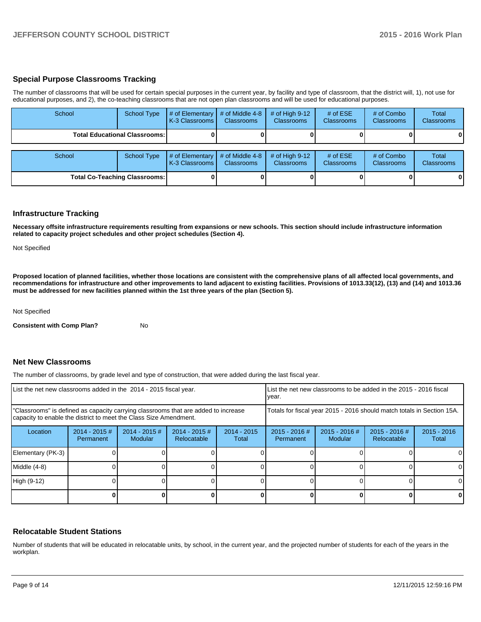#### **Special Purpose Classrooms Tracking**

The number of classrooms that will be used for certain special purposes in the current year, by facility and type of classroom, that the district will, 1), not use for educational purposes, and 2), the co-teaching classrooms that are not open plan classrooms and will be used for educational purposes.

| School | <b>School Type</b>                   | $#$ of Elementary<br>K-3 Classrooms | # of Middle 4-8<br><b>Classrooms</b> | # of High $9-12$<br><b>Classrooms</b> | # of $ESE$<br><b>Classrooms</b> | # of Combo<br><b>Classrooms</b> | <b>Total</b><br><b>Classrooms</b> |
|--------|--------------------------------------|-------------------------------------|--------------------------------------|---------------------------------------|---------------------------------|---------------------------------|-----------------------------------|
|        | <b>Total Educational Classrooms:</b> |                                     |                                      |                                       |                                 |                                 | 0                                 |
|        |                                      |                                     |                                      |                                       |                                 |                                 |                                   |
| School | <b>School Type</b>                   | # of Elementary<br>K-3 Classrooms   | # of Middle 4-8<br><b>Classrooms</b> | # of High $9-12$<br><b>Classrooms</b> | # of $ESE$<br><b>Classrooms</b> | # of Combo<br><b>Classrooms</b> | Total<br><b>Classrooms</b>        |
|        | <b>Total Co-Teaching Classrooms:</b> |                                     |                                      |                                       |                                 |                                 | $\mathbf{0}$                      |

#### **Infrastructure Tracking**

**Necessary offsite infrastructure requirements resulting from expansions or new schools. This section should include infrastructure information related to capacity project schedules and other project schedules (Section 4).**

Not Specified

**Proposed location of planned facilities, whether those locations are consistent with the comprehensive plans of all affected local governments, and recommendations for infrastructure and other improvements to land adjacent to existing facilities. Provisions of 1013.33(12), (13) and (14) and 1013.36 must be addressed for new facilities planned within the 1st three years of the plan (Section 5).**

Not Specified

**Consistent with Comp Plan?** No

#### **Net New Classrooms**

The number of classrooms, by grade level and type of construction, that were added during the last fiscal year.

| List the net new classrooms added in the 2014 - 2015 fiscal year.                                                                                       | LList the net new classrooms to be added in the 2015 - 2016 fiscal<br>Ivear. |                            |                                |                        |                                                                        |                            |                                |                        |
|---------------------------------------------------------------------------------------------------------------------------------------------------------|------------------------------------------------------------------------------|----------------------------|--------------------------------|------------------------|------------------------------------------------------------------------|----------------------------|--------------------------------|------------------------|
| "Classrooms" is defined as capacity carrying classrooms that are added to increase<br>capacity to enable the district to meet the Class Size Amendment. |                                                                              |                            |                                |                        | Totals for fiscal year 2015 - 2016 should match totals in Section 15A. |                            |                                |                        |
| Location                                                                                                                                                | $2014 - 2015 \#$<br>Permanent                                                | $2014 - 2015$ #<br>Modular | $2014 - 2015$ #<br>Relocatable | $2014 - 2015$<br>Total | $2015 - 2016$ #<br>Permanent                                           | $2015 - 2016$ #<br>Modular | $2015 - 2016$ #<br>Relocatable | $2015 - 2016$<br>Total |
| Elementary (PK-3)                                                                                                                                       |                                                                              |                            |                                |                        |                                                                        |                            |                                |                        |
| Middle (4-8)                                                                                                                                            |                                                                              |                            |                                |                        |                                                                        |                            |                                | 0                      |
| High (9-12)                                                                                                                                             |                                                                              |                            |                                |                        |                                                                        |                            |                                |                        |
|                                                                                                                                                         |                                                                              |                            |                                |                        |                                                                        |                            |                                |                        |

#### **Relocatable Student Stations**

Number of students that will be educated in relocatable units, by school, in the current year, and the projected number of students for each of the years in the workplan.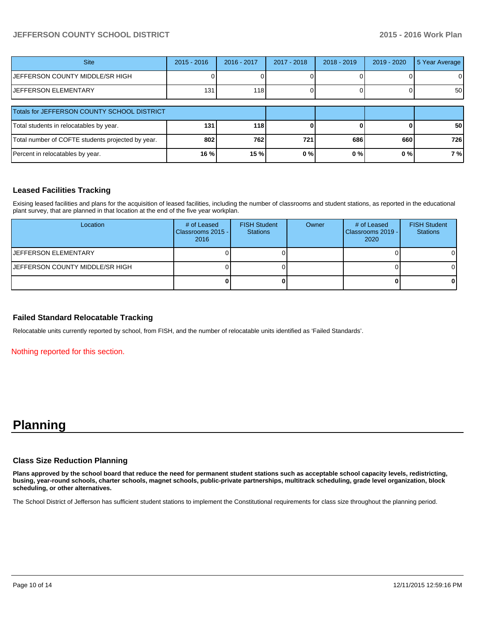## **JEFFERSON COUNTY SCHOOL DISTRICT 2015 - 2016 Work Plan**

| <b>Site</b>                                       | $2015 - 2016$ | 2016 - 2017 | 2017 - 2018 | 2018 - 2019 | $2019 - 2020$ | 5 Year Average  |
|---------------------------------------------------|---------------|-------------|-------------|-------------|---------------|-----------------|
| JEFFERSON COUNTY MIDDLE/SR HIGH                   |               |             |             |             |               | ΟI              |
| <b>JEFFERSON ELEMENTARY</b>                       | 131           | <b>118</b>  |             |             |               | 50 <sub>l</sub> |
|                                                   |               |             |             |             |               |                 |
| Totals for JEFFERSON COUNTY SCHOOL DISTRICT       |               |             |             |             |               |                 |
| Total students in relocatables by year.           | 131           | 118         |             |             |               | <b>50</b>       |
| Total number of COFTE students projected by year. | 802           | 762         | 721         | 686         | 660           | 726             |
| Percent in relocatables by year.                  | 16 %          | 15%         | 0%          | 0%          | 0%            | 7 %             |

## **Leased Facilities Tracking**

Exising leased facilities and plans for the acquisition of leased facilities, including the number of classrooms and student stations, as reported in the educational plant survey, that are planned in that location at the end of the five year workplan.

| Location                        | # of Leased<br>Classrooms 2015 -<br>2016 | <b>FISH Student</b><br><b>Stations</b> | Owner | # of Leased<br>Classrooms 2019 - I<br>2020 | <b>FISH Student</b><br><b>Stations</b> |
|---------------------------------|------------------------------------------|----------------------------------------|-------|--------------------------------------------|----------------------------------------|
| IJEFFERSON ELEMENTARY           |                                          |                                        |       |                                            |                                        |
| JEFFERSON COUNTY MIDDLE/SR HIGH |                                          |                                        |       |                                            |                                        |
|                                 |                                          |                                        |       |                                            |                                        |

#### **Failed Standard Relocatable Tracking**

Relocatable units currently reported by school, from FISH, and the number of relocatable units identified as 'Failed Standards'.

Nothing reported for this section.

## **Planning**

#### **Class Size Reduction Planning**

**Plans approved by the school board that reduce the need for permanent student stations such as acceptable school capacity levels, redistricting, busing, year-round schools, charter schools, magnet schools, public-private partnerships, multitrack scheduling, grade level organization, block scheduling, or other alternatives.**

The School District of Jefferson has sufficient student stations to implement the Constitutional requirements for class size throughout the planning period.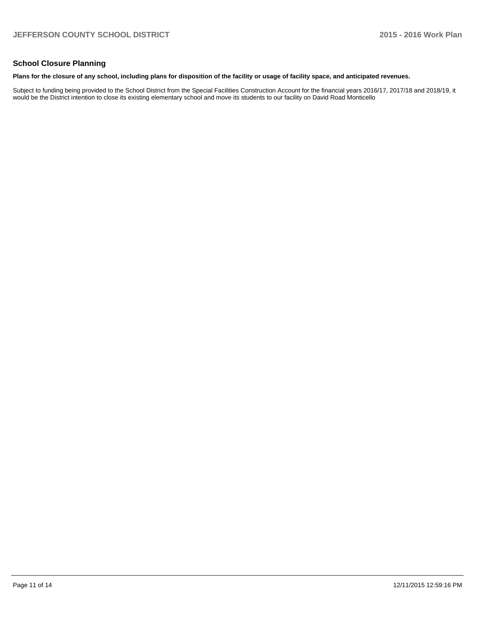## **School Closure Planning**

#### **Plans for the closure of any school, including plans for disposition of the facility or usage of facility space, and anticipated revenues.**

Subject to funding being provided to the School District from the Special Facilities Construction Account for the financial years 2016/17, 2017/18 and 2018/19, it would be the District intention to close its existing elementary school and move its students to our facility on David Road Monticello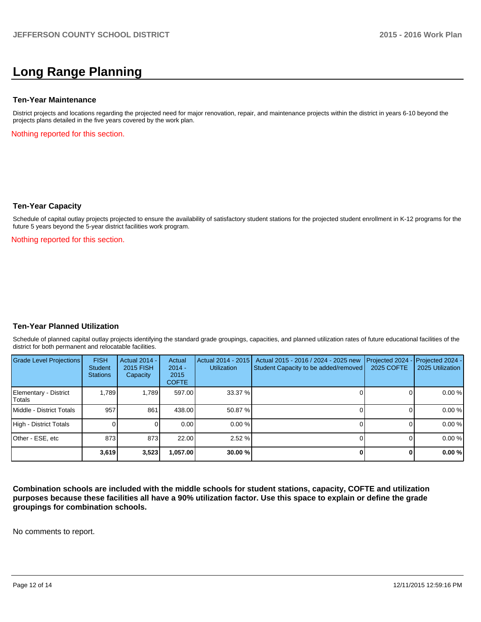## **Long Range Planning**

#### **Ten-Year Maintenance**

District projects and locations regarding the projected need for major renovation, repair, and maintenance projects within the district in years 6-10 beyond the projects plans detailed in the five years covered by the work plan.

Nothing reported for this section.

#### **Ten-Year Capacity**

Schedule of capital outlay projects projected to ensure the availability of satisfactory student stations for the projected student enrollment in K-12 programs for the future 5 years beyond the 5-year district facilities work program.

Nothing reported for this section.

#### **Ten-Year Planned Utilization**

Schedule of planned capital outlay projects identifying the standard grade groupings, capacities, and planned utilization rates of future educational facilities of the district for both permanent and relocatable facilities.

| Grade Level Projections         | <b>FISH</b><br>Student<br><b>Stations</b> | <b>Actual 2014 -</b><br>2015 FISH<br>Capacity | Actual<br>$2014 -$<br>2015<br><b>COFTE</b> | Actual 2014 - 2015<br><b>Utilization</b> | Actual 2015 - 2016 / 2024 - 2025 new<br>Student Capacity to be added/removed | Projected 2024<br>2025 COFTE | $-$ Projected 2024 -<br>2025 Utilization |
|---------------------------------|-------------------------------------------|-----------------------------------------------|--------------------------------------------|------------------------------------------|------------------------------------------------------------------------------|------------------------------|------------------------------------------|
| Elementary - District<br>Totals | 1.789                                     | 1.789                                         | 597.00                                     | 33.37 %                                  |                                                                              |                              | 0.00%                                    |
| Middle - District Totals        | 957                                       | 861                                           | 438.00                                     | 50.87 %                                  |                                                                              |                              | 0.00%                                    |
| High - District Totals          |                                           |                                               | 0.00                                       | $0.00\%$                                 |                                                                              |                              | 0.00%                                    |
| Other - ESE, etc                | 873                                       | 873                                           | 22.00                                      | 2.52%                                    |                                                                              |                              | 0.00%                                    |
|                                 | 3,619                                     | 3,523                                         | .057.00                                    | 30.00%                                   |                                                                              |                              | 0.00%                                    |

**Combination schools are included with the middle schools for student stations, capacity, COFTE and utilization purposes because these facilities all have a 90% utilization factor. Use this space to explain or define the grade groupings for combination schools.**

No comments to report.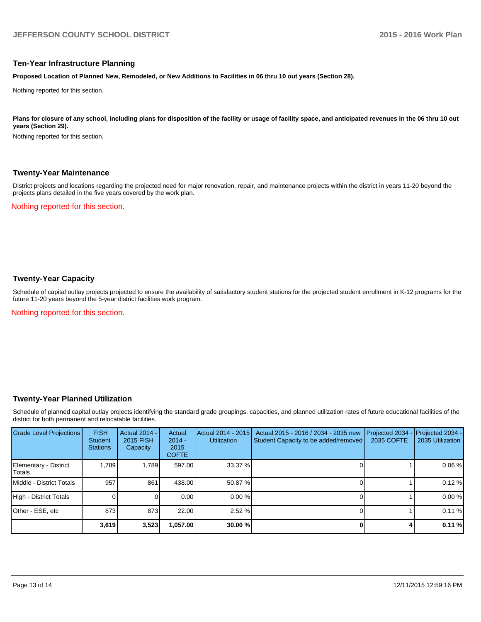#### **Ten-Year Infrastructure Planning**

**Proposed Location of Planned New, Remodeled, or New Additions to Facilities in 06 thru 10 out years (Section 28).**

Nothing reported for this section.

Plans for closure of any school, including plans for disposition of the facility or usage of facility space, and anticipated revenues in the 06 thru 10 out **years (Section 29).**

Nothing reported for this section.

#### **Twenty-Year Maintenance**

District projects and locations regarding the projected need for major renovation, repair, and maintenance projects within the district in years 11-20 beyond the projects plans detailed in the five years covered by the work plan.

Nothing reported for this section.

## **Twenty-Year Capacity**

Schedule of capital outlay projects projected to ensure the availability of satisfactory student stations for the projected student enrollment in K-12 programs for the future 11-20 years beyond the 5-year district facilities work program.

Nothing reported for this section.

#### **Twenty-Year Planned Utilization**

Schedule of planned capital outlay projects identifying the standard grade groupings, capacities, and planned utilization rates of future educational facilities of the district for both permanent and relocatable facilities.

| <b>Grade Level Projections</b>   | <b>FISH</b><br><b>Student</b><br><b>Stations</b> | Actual 2014 -<br>2015 FISH<br>Capacity | Actual<br>$2014 -$<br>2015<br><b>COFTE</b> | Actual 2014 - 2015<br><b>Utilization</b> | Actual 2015 - 2016 / 2034 - 2035 new<br>Student Capacity to be added/removed | Projected 2034<br>2035 COFTE | Projected 2034 -<br>2035 Utilization |
|----------------------------------|--------------------------------------------------|----------------------------------------|--------------------------------------------|------------------------------------------|------------------------------------------------------------------------------|------------------------------|--------------------------------------|
| Elementary - District<br> Totals | 1.789                                            | 1.789                                  | 597.00                                     | 33.37 %                                  |                                                                              |                              | 0.06%                                |
| Middle - District Totals         | 957                                              | 861                                    | 438.00                                     | 50.87 %                                  |                                                                              |                              | 0.12%                                |
| High - District Totals           |                                                  |                                        | 0.00                                       | 0.00%                                    |                                                                              |                              | 0.00%                                |
| Other - ESE, etc                 | 873                                              | 873                                    | 22.00                                      | 2.52%                                    |                                                                              |                              | 0.11%                                |
|                                  | 3,619                                            | 3,523                                  | 1,057.00                                   | 30.00%                                   |                                                                              |                              | 0.11%                                |